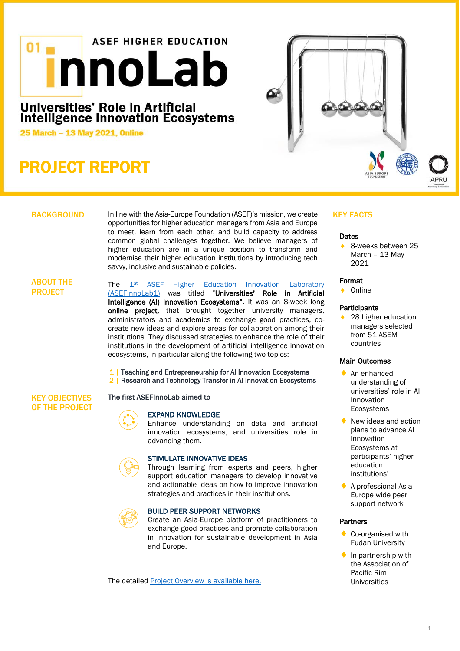# **ASEF HIGHER EDUCATION innoLab**

# Universities' Role in Artificial<br>Intelligence Innovation Ecosystems

25 March - 13 May 2021, Online

# PROJECT REPORT



# **BACKGROUND**

In line with the Asia-Europe Foundation (ASEF)'s mission, we create opportunities for higher education managers from Asia and Europe to meet, learn from each other, and build capacity to address common global challenges together. We believe managers of higher education are in a unique position to transform and modernise their higher education institutions by introducing tech savvy, inclusive and sustainable policies.

# ABOUT THE PROJECT

The 1<sup>st</sup> ASEF Higher Education Innovation Laboratory [\(ASEFInnoLab1\)](https://asef.org/projects/asefinnolab1/) was titled "Universities' Role in Artificial Intelligence (AI) Innovation Ecosystems". It was an 8-week long online project, that brought together university managers, administrators and academics to exchange good practices, cocreate new ideas and explore areas for collaboration among their institutions. They discussed strategies to enhance the role of their institutions in the development of artificial intelligence innovation ecosystems, in particular along the following two topics:

1 | Teaching and Entrepreneurship for AI Innovation Ecosystems 2 | Research and Technology Transfer in AI Innovation Ecosystems

#### KEY OBJECTIVES OF THE PROJECT

# EXPAND KNOWLEDGE

The first ASEFInnoLab aimed to

Enhance understanding on data and artificial innovation ecosystems, and universities role in advancing them.



# STIMULATE INNOVATIVE IDEAS

Through learning from experts and peers, higher support education managers to develop innovative and actionable ideas on how to improve innovation strategies and practices in their institutions.



# BUILD PEER SUPPORT NETWORKS

Create an Asia-Europe platform of practitioners to exchange good practices and promote collaboration in innovation for sustainable development in Asia and Europe.

The detailed [Project Overview is available here.](https://asef.org/wp-content/uploads/2021/02/ASEFInnoLab1_Overview.pdf)

# KEY FACTS

### **Dates**

 8-weeks between 25 March – 13 May 2021

#### Format

◆ Online

# **Participants**

 28 higher education managers selected from 51 ASEM countries

# Main Outcomes

- ◆ An enhanced understanding of universities' role in AI Innovation Ecosystems
- New ideas and action plans to advance AI Innovation Ecosystems at participants' higher education institutions'
- A professional Asia-Europe wide peer support network

# **Partners**

- Co-organised with Fudan University
- In partnership with the Association of Pacific Rim Universities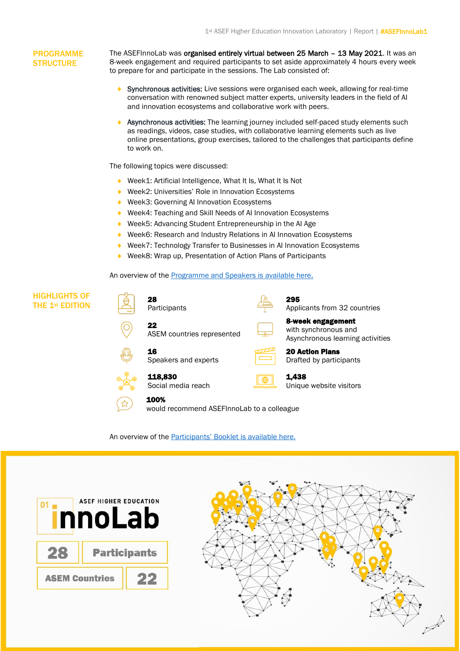# PROGRAMME **STRUCTURE**

The ASEFInnoLab was organised entirely virtual between 25 March – 13 May 2021. It was an 8-week engagement and required participants to set aside approximately 4 hours every week to prepare for and participate in the sessions. The Lab consisted of:

- Synchronous activities: Live sessions were organised each week, allowing for real-time conversation with renowned subject matter experts, university leaders in the field of AI and innovation ecosystems and collaborative work with peers.
- Asynchronous activities: The learning journey included self-paced study elements such as readings, videos, case studies, with collaborative learning elements such as live online presentations, group exercises, tailored to the challenges that participants define to work on.

The following topics were discussed:

- ◆ Week1: Artificial Intelligence, What It Is, What It Is Not
- ◆ Week2: Universities' Role in Innovation Ecosystems
- ◆ Week3: Governing AI Innovation Ecosystems
- ◆ Week4: Teaching and Skill Needs of AI Innovation Ecosystems
- ◆ Week5: Advancing Student Entrepreneurship in the AI Age
- ◆ Week6: Research and Industry Relations in AI Innovation Ecosystems
- ◆ Week7: Technology Transfer to Businesses in AI Innovation Ecosystems
- ◆ Week8: Wrap up, Presentation of Action Plans of Participants

An overview of the **[Programme and Speakers is available here](https://asef.org/wp-content/uploads/2021/04/210422_ASEFInnoLab1_Programme.pdf).** 



# An overview of the [Participants' Booklet](https://asef.org/wp-content/uploads/2021/06/210618_ASEFInnoLab-Participants-Booklet-corrected.pdf) is available here.



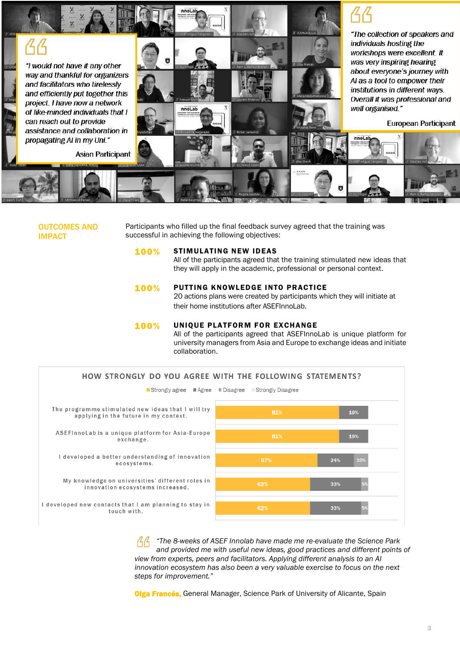

OUTCOMES AND IMPACT

Participants who filled up the final feedback survey agreed that the training was successful in achieving the following objectives:

### 100% STIMULATING NEW IDEAS

All of the participants agreed that the training stimulated new ideas that they will apply in the academic, professional or personal context.

### **100%** PUTTING KNOWLEDGE INTO PRACTICE

20 actions plans were created by participants which they will initiate at their home institutions after ASEFInnoLab.

### 100% UNIQUE PLATFORM FOR EXCHANGE

All of the participants agreed that ASEFInnoLab is unique platform for university managers from Asia and Europe to exchange ideas and initiate collaboration.



*"The 8-weeks of ASEF Innolab have made me re-evaluate the Science Park and provided me with useful new ideas, good practices and different points of view from experts, peers and facilitators. Applying different analysis to an AI innovation ecosystem has also been a very valuable exercise to focus on the next steps for improvement."* 

**Olga Francés**, General Manager, Science Park of University of Alicante, Spain